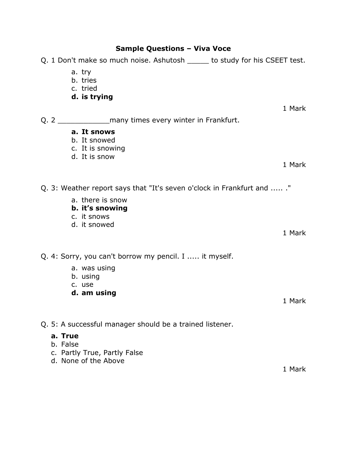## **Sample Questions – Viva Voce**

|          | Q. 1 Don't make so much noise. Ashutosh _____ to study for his CSEET test. |        |
|----------|----------------------------------------------------------------------------|--------|
|          | a. try<br>b. tries<br>c. tried<br>d. is trying                             |        |
|          |                                                                            | 1 Mark |
|          |                                                                            |        |
|          | a. It snows                                                                |        |
|          | b. It snowed<br>c. It is snowing                                           |        |
|          | d. It is snow                                                              |        |
|          |                                                                            | 1 Mark |
|          | Q. 3: Weather report says that "It's seven o'clock in Frankfurt and  ."    |        |
|          | a. there is snow                                                           |        |
|          | b. it's snowing                                                            |        |
|          | c. it snows<br>d. it snowed                                                |        |
|          |                                                                            | 1 Mark |
|          |                                                                            |        |
|          | Q. 4: Sorry, you can't borrow my pencil. I  it myself.                     |        |
|          | a. was using                                                               |        |
|          | b. using<br>c. use                                                         |        |
|          | d. am using                                                                |        |
|          |                                                                            | 1 Mark |
|          |                                                                            |        |
|          | Q. 5: A successful manager should be a trained listener.                   |        |
| a. True  |                                                                            |        |
| b. False |                                                                            |        |
|          | c. Partly True, Partly False<br>d. None of the Above                       |        |
|          |                                                                            | 1 Mark |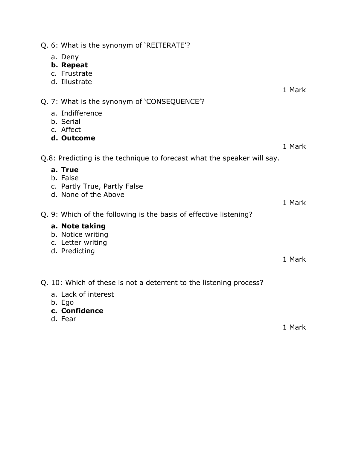| Q. 6: What is the synonym of 'REITERATE'?                                 |        |
|---------------------------------------------------------------------------|--------|
| a. Deny<br>b. Repeat<br>c. Frustrate                                      |        |
| d. Illustrate                                                             | 1 Mark |
| Q. 7: What is the synonym of 'CONSEQUENCE'?                               |        |
| a. Indifference<br>b. Serial<br>c. Affect                                 |        |
| d. Outcome                                                                |        |
|                                                                           | 1 Mark |
| Q.8: Predicting is the technique to forecast what the speaker will say.   |        |
| a. True<br>b. False                                                       |        |
| c. Partly True, Partly False<br>d. None of the Above                      |        |
|                                                                           | 1 Mark |
| Q. 9: Which of the following is the basis of effective listening?         |        |
| a. Note taking<br>b. Notice writing<br>c. Letter writing<br>d. Predicting |        |
|                                                                           | 1 Mark |
|                                                                           |        |
| Q. 10: Which of these is not a deterrent to the listening process?        |        |
| a. Lack of interest<br>b. Ego                                             |        |
| c. Confidence                                                             |        |
| d. Fear                                                                   | 1 Mark |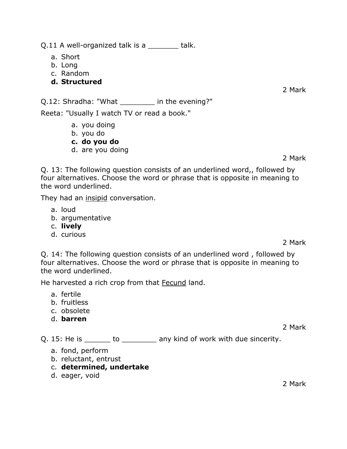Q.11 A well-organized talk is a \_\_\_\_\_\_\_\_ talk.

- a. Short
- b. Long
- c. Random
- **d. Structured**

2 Mark

Q.12: Shradha: "What \_\_\_\_\_\_\_\_ in the evening?"

Reeta: "Usually I watch TV or read a book."

- a. you doing
- b. you do
- **c. do you do**
- d. are you doing

2 Mark

Q. 13: The following question consists of an underlined word,, followed by four alternatives. Choose the word or phrase that is opposite in meaning to the word underlined.

They had an insipid conversation.

- a. loud
- b. argumentative
- c. **lively**
- d. curious

2 Mark

Q. 14: The following question consists of an underlined word , followed by four alternatives. Choose the word or phrase that is opposite in meaning to the word underlined.

He harvested a rich crop from that Fecund land.

- a. fertile
- b. fruitless
- c. obsolete
- d. **barren**

2 Mark

Q. 15: He is \_\_\_\_\_\_\_ to \_\_\_\_\_\_\_\_\_\_ any kind of work with due sincerity.

- a. fond, perform
- b. reluctant, entrust
- c. **determined, undertake**
- d. eager, void

2 Mark